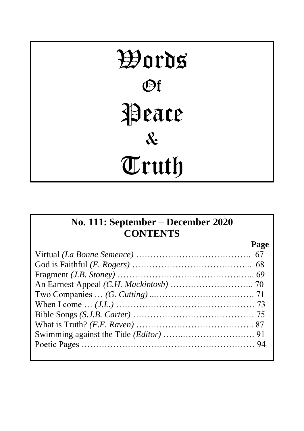# Words Of Peace & Truth

# **No. 111: September – December 2020 CONTENTS**

| Page |
|------|
|      |
|      |
|      |
|      |
|      |
|      |
|      |
|      |
|      |
|      |
|      |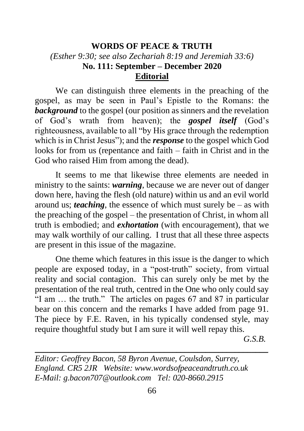# **WORDS OF PEACE & TRUTH** *(Esther 9:30; see also Zechariah 8:19 and Jeremiah 33:6)* **No. 111: September – December 2020 Editorial**

We can distinguish three elements in the preaching of the gospel, as may be seen in Paul's Epistle to the Romans: the **background** to the gospel (our position as sinners and the revelation of God's wrath from heaven); the *gospel itself* (God's righteousness, available to all "by His grace through the redemption which is in Christ Jesus"); and the *response* to the gospel which God looks for from us (repentance and faith – faith in Christ and in the God who raised Him from among the dead).

It seems to me that likewise three elements are needed in ministry to the saints: *warning*, because we are never out of danger down here, having the flesh (old nature) within us and an evil world around us; *teaching*, the essence of which must surely be  $-$  as with the preaching of the gospel – the presentation of Christ, in whom all truth is embodied; and *exhortation* (with encouragement), that we may walk worthily of our calling. I trust that all these three aspects are present in this issue of the magazine.

One theme which features in this issue is the danger to which people are exposed today, in a "post-truth" society, from virtual reality and social contagion. This can surely only be met by the presentation of the real truth, centred in the One who only could say "I am … the truth." The articles on pages 67 and 87 in particular bear on this concern and the remarks I have added from page 91. The piece by F.E. Raven, in his typically condensed style, may require thoughtful study but I am sure it will well repay this.

*G.S.B.*

*Editor: Geoffrey Bacon, 58 Byron Avenue, Coulsdon, Surrey, England. CR5 2JR Website: www.wordsofpeaceandtruth.co.uk E-Mail: g.bacon707@outlook.com Tel: 020-8660.2915*

\_\_\_\_\_\_\_\_\_\_\_\_\_\_\_\_\_\_\_\_\_\_\_\_\_\_\_\_\_\_\_\_\_\_\_\_\_\_\_\_\_\_\_\_\_\_\_\_\_\_\_\_\_\_\_\_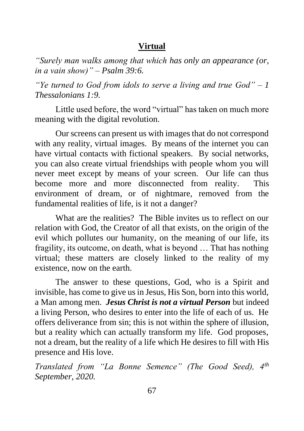# **Virtual**

*"Surely man walks among that which has only an appearance (or, in a vain show)" – Psalm 39:6.*

*"Ye turned to God from idols to serve a living and true God" – 1 Thessalonians 1:9.*

Little used before, the word "virtual" has taken on much more meaning with the digital revolution.

Our screens can present us with images that do not correspond with any reality, virtual images. By means of the internet you can have virtual contacts with fictional speakers. By social networks, you can also create virtual friendships with people whom you will never meet except by means of your screen. Our life can thus become more and more disconnected from reality. This environment of dream, or of nightmare, removed from the fundamental realities of life, is it not a danger?

What are the realities? The Bible invites us to reflect on our relation with God, the Creator of all that exists, on the origin of the evil which pollutes our humanity, on the meaning of our life, its fragility, its outcome, on death, what is beyond … That has nothing virtual; these matters are closely linked to the reality of my existence, now on the earth.

The answer to these questions, God, who is a Spirit and invisible, has come to give us in Jesus, His Son, born into this world, a Man among men. *Jesus Christ is not a virtual Person* but indeed a living Person, who desires to enter into the life of each of us. He offers deliverance from sin; this is not within the sphere of illusion, but a reality which can actually transform my life. God proposes, not a dream, but the reality of a life which He desires to fill with His presence and His love.

*Translated from "La Bonne Semence" (The Good Seed), 4th September, 2020.*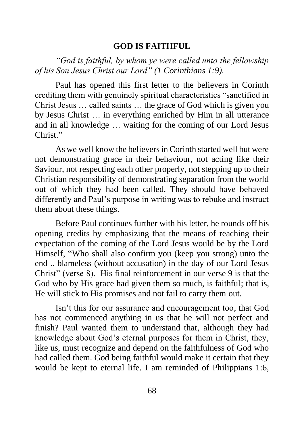#### **GOD IS FAITHFUL**

*"God is faithful, by whom ye were called unto the fellowship of his Son Jesus Christ our Lord" (1 Corinthians 1:9).*

Paul has opened this first letter to the believers in Corinth crediting them with genuinely spiritual characteristics "sanctified in Christ Jesus … called saints … the grace of God which is given you by Jesus Christ … in everything enriched by Him in all utterance and in all knowledge … waiting for the coming of our Lord Jesus Christ."

As we well know the believers in Corinth started well but were not demonstrating grace in their behaviour, not acting like their Saviour, not respecting each other properly, not stepping up to their Christian responsibility of demonstrating separation from the world out of which they had been called. They should have behaved differently and Paul's purpose in writing was to rebuke and instruct them about these things.

Before Paul continues further with his letter, he rounds off his opening credits by emphasizing that the means of reaching their expectation of the coming of the Lord Jesus would be by the Lord Himself, "Who shall also confirm you (keep you strong) unto the end .. blameless (without accusation) in the day of our Lord Jesus Christ" (verse 8). His final reinforcement in our verse 9 is that the God who by His grace had given them so much, is faithful; that is, He will stick to His promises and not fail to carry them out.

Isn't this for our assurance and encouragement too, that God has not commenced anything in us that he will not perfect and finish? Paul wanted them to understand that, although they had knowledge about God's eternal purposes for them in Christ, they, like us, must recognize and depend on the faithfulness of God who had called them. God being faithful would make it certain that they would be kept to eternal life. I am reminded of Philippians 1:6,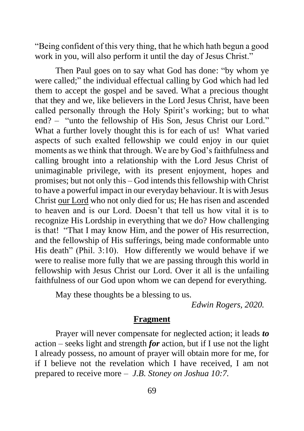"Being confident of this very thing, that he which hath begun a good work in you, will also perform it until the day of Jesus Christ."

Then Paul goes on to say what God has done: "by whom ye were called;" the individual effectual calling by God which had led them to accept the gospel and be saved. What a precious thought that they and we, like believers in the Lord Jesus Christ, have been called personally through the Holy Spirit's working; but to what end? – "unto the fellowship of His Son, Jesus Christ our Lord." What a further lovely thought this is for each of us! What varied aspects of such exalted fellowship we could enjoy in our quiet moments as we think that through. We are by God's faithfulness and calling brought into a relationship with the Lord Jesus Christ of unimaginable privilege, with its present enjoyment, hopes and promises; but not only this – God intends this fellowship with Christ to have a powerful impact in our everyday behaviour. It is with Jesus Christ our Lord who not only died for us; He has risen and ascended to heaven and is our Lord. Doesn't that tell us how vital it is to recognize His Lordship in everything that we do? How challenging is that! "That I may know Him, and the power of His resurrection, and the fellowship of His sufferings, being made conformable unto His death" (Phil. 3:10). How differently we would behave if we were to realise more fully that we are passing through this world in fellowship with Jesus Christ our Lord. Over it all is the unfailing faithfulness of our God upon whom we can depend for everything.

May these thoughts be a blessing to us.

*Edwin Rogers, 2020.*

#### **Fragment**

Prayer will never compensate for neglected action; it leads *to* action – seeks light and strength *for* action, but if I use not the light I already possess, no amount of prayer will obtain more for me, for if I believe not the revelation which I have received, I am not prepared to receive more – *J.B. Stoney on Joshua 10:7.*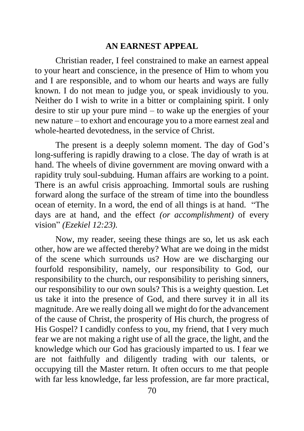#### **AN EARNEST APPEAL**

Christian reader, I feel constrained to make an earnest appeal to your heart and conscience, in the presence of Him to whom you and I are responsible, and to whom our hearts and ways are fully known. I do not mean to judge you, or speak invidiously to you. Neither do I wish to write in a bitter or complaining spirit. I only desire to stir up your pure mind – to wake up the energies of your new nature – to exhort and encourage you to a more earnest zeal and whole-hearted devotedness, in the service of Christ.

The present is a deeply solemn moment. The day of God's long-suffering is rapidly drawing to a close. The day of wrath is at hand. The wheels of divine government are moving onward with a rapidity truly soul-subduing. Human affairs are working to a point. There is an awful crisis approaching. Immortal souls are rushing forward along the surface of the stream of time into the boundless ocean of eternity. In a word, the end of all things is at hand. "The days are at hand, and the effect *(or accomplishment)* of every vision" *(Ezekiel 12:23).*

Now, my reader, seeing these things are so, let us ask each other, how are we affected thereby? What are we doing in the midst of the scene which surrounds us? How are we discharging our fourfold responsibility, namely, our responsibility to God, our responsibility to the church, our responsibility to perishing sinners, our responsibility to our own souls? This is a weighty question. Let us take it into the presence of God, and there survey it in all its magnitude. Are we really doing all we might do for the advancement of the cause of Christ, the prosperity of His church, the progress of His Gospel? I candidly confess to you, my friend, that I very much fear we are not making a right use of all the grace, the light, and the knowledge which our God has graciously imparted to us. I fear we are not faithfully and diligently trading with our talents, or occupying till the Master return. It often occurs to me that people with far less knowledge, far less profession, are far more practical,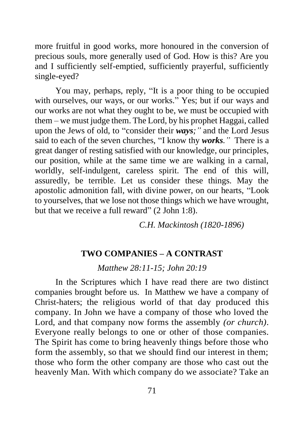more fruitful in good works, more honoured in the conversion of precious souls, more generally used of God. How is this? Are you and I sufficiently self-emptied, sufficiently prayerful, sufficiently single-eyed?

You may, perhaps, reply, "It is a poor thing to be occupied with ourselves, our ways, or our works." Yes; but if our ways and our works are not what they ought to be, we must be occupied with them – we must judge them. The Lord, by his prophet Haggai, called upon the Jews of old, to "consider their *ways;"* and the Lord Jesus said to each of the seven churches, "I know thy *works."* There is a great danger of resting satisfied with our knowledge, our principles, our position, while at the same time we are walking in a carnal, worldly, self-indulgent, careless spirit. The end of this will, assuredly, be terrible. Let us consider these things. May the apostolic admonition fall, with divine power, on our hearts, "Look to yourselves, that we lose not those things which we have wrought, but that we receive a full reward" (2 [John](https://bibletruthpublishers.com/lbc1165KJV#v8) 1:8).

*C.H. Mackintosh (1820-1896)*

#### **TWO COMPANIES – A CONTRAST**

*Matthew 28:11-15; John 20:19*

In the Scriptures which I have read there are two distinct companies brought before us. In Matthew we have a company of Christ-haters; the religious world of that day produced this company. In John we have a company of those who loved the Lord, and that company now forms the assembly *(or church)*. Everyone really belongs to one or other of those companies. The Spirit has come to bring heavenly things before those who form the assembly, so that we should find our interest in them; those who form the other company are those who cast out the heavenly Man. With which company do we associate? Take an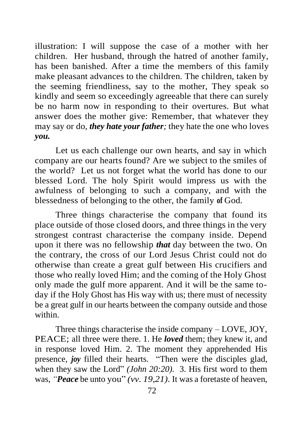illustration: I will suppose the case of a mother with her children. Her husband, through the hatred of another family, has been banished. After a time the members of this family make pleasant advances to the children. The children, taken by the seeming friendliness, say to the mother, They speak so kindly and seem so exceedingly agreeable that there can surely be no harm now in responding to their overtures. But what answer does the mother give: Remember, that whatever they may say or do, *they hate your father;* they hate the one who loves *you.*

Let us each challenge our own hearts, and say in which company are our hearts found? Are we subject to the smiles of the world? Let us not forget what the world has done to our blessed Lord. The holy Spirit would impress us with the awfulness of belonging to such a company, and with the blessedness of belonging to the other, the family **of** God.

Three things characterise the company that found its place outside of those closed doors, and three things in the very strongest contrast characterise the company inside. Depend upon it there was no fellowship *that* day between the two. On the contrary, the cross of our Lord Jesus Christ could not do otherwise than create a great gulf between His crucifiers and those who really loved Him; and the coming of the Holy Ghost only made the gulf more apparent. And it will be the same today if the Holy Ghost has His way with us; there must of necessity be a great gulf in our hearts between the company outside and those within.

Three things characterise the inside company – LOVE, JOY, PEACE; all three were there. 1. He *loved* them; they knew it, and in response loved Him. 2. The moment they apprehended His presence, *joy* filled their hearts. "Then were the disciples glad, when they saw the Lord" *(John 20:20).* 3. His first word to them was, *"Peace* be unto you" *(vv. 19,21).* It was a foretaste of heaven,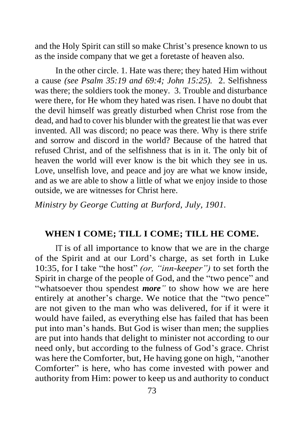and the Holy Spirit can still so make Christ's presence known to us as the inside company that we get a foretaste of heaven also.

In the other circle. 1. Hate was there; they hated Him without a cause *(see Psalm 35:19 and 69:4; John 15:25).* 2. Selfishness was there; the soldiers took the money. 3. Trouble and disturbance were there, for He whom they hated was risen. I have no doubt that the devil himself was greatly disturbed when Christ rose from the dead, and had to cover his blunder with the greatest lie that was ever invented. All was discord; no peace was there. Why is there strife and sorrow and discord in the world? Because of the hatred that refused Christ, and of the selfishness that is in it. The only bit of heaven the world will ever know is the bit which they see in us. Love, unselfish love, and peace and joy are what we know inside. and as we are able to show a little of what we enjoy inside to those outside, we are witnesses for Christ here.

*Ministry by George Cutting at Burford, July, 1901.* 

#### **WHEN I COME; TILL I COME; TILL HE COME.**

IT is of all importance to know that we are in the charge of the Spirit and at our Lord's charge, as set forth in Luke 10:35, for I take "the host" *(or, "inn-keeper")* to set forth the Spirit in charge of the people of God, and the "two pence" and "whatsoever thou spendest *more"* to show how we are here entirely at another's charge. We notice that the "two pence" are not given to the man who was delivered, for if it were it would have failed, as everything else has failed that has been put into man's hands. But God is wiser than men; the supplies are put into hands that delight to minister not according to our need only, but according to the fulness of God's grace. Christ was here the Comforter, but, He having gone on high, "another Comforter" is here, who has come invested with power and authority from Him: power to keep us and authority to conduct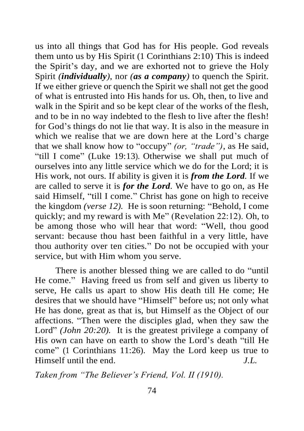us into all things that God has for His people. God reveals them unto us by His Spirit (1 Corinthians 2:10) This is indeed the Spirit's day, and we are exhorted not to grieve the Holy Spirit *(individually)*, nor *(as a company)* to quench the Spirit. If we either grieve or quench the Spirit we shall not get the good of what is entrusted into His hands for us. Oh, then, to live and walk in the Spirit and so be kept clear of the works of the flesh, and to be in no way indebted to the flesh to live after the flesh! for God's things do not lie that way. It is also in the measure in which we realise that we are down here at the Lord's charge that we shall know how to "occupy" *(or, "trade")*, as He said, "till I come" (Luke 19:13). Otherwise we shall put much of ourselves into any little service which we do for the Lord; it is His work, not ours. If ability is given it is *from the Lord.* If we are called to serve it is *for the Lord.* We have to go on, as He said Himself, "till I come." Christ has gone on high to receive the kingdom *(verse 12).* He is soon returning: "Behold, I come quickly; and my reward is with Me" (Revelation 22:12). Oh, to be among those who will hear that word: "Well, thou good servant: because thou hast been faithful in a very little, have thou authority over ten cities." Do not be occupied with your service, but with Him whom you serve.

There is another blessed thing we are called to do "until He come." Having freed us from self and given us liberty to serve, He calls us apart to show His death till He come; He desires that we should have "Himself" before us; not only what He has done, great as that is, but Himself as the Object of our affections. "Then were the disciples glad, when they saw the Lord" *(John 20:20)*. It is the greatest privilege a company of His own can have on earth to show the Lord's death "till He come" (1 Corinthians 11:26). May the Lord keep us true to Himself until the end. *J.L.*

*Taken from "The Believer's Friend, Vol. II (1910).*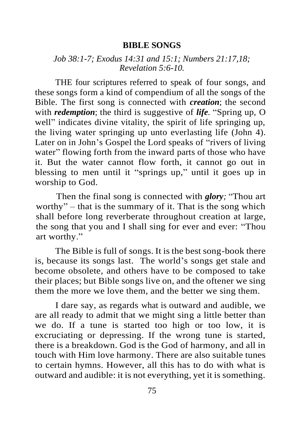#### **BIBLE SONGS**

#### *Job 38:1-7; Exodus 14:31 and 15:1; Numbers 21:17,18; Revelation 5:6-10.*

THE four scriptures referred to speak of four songs, and these songs form a kind of compendium of all the songs of the Bible. The first song is connected with *creation*; the second with *redemption*; the third is suggestive of *life*. "Spring up, O well" indicates divine vitality, the spirit of life springing up, the living water springing up unto everlasting life (John 4). Later on in John's Gospel the Lord speaks of "rivers of living" water" flowing forth from the inward parts of those who have it. But the water cannot flow forth, it cannot go out in blessing to men until it "springs up," until it goes up in worship to God.

Then the final song is connected with *glory;* "Thou art worthy" – that is the summary of it. That is the song which shall before long reverberate throughout creation at large, the song that you and I shall sing for ever and ever: "Thou art worthy."

The Bible is full of songs. It is the best song-book there is, because its songs last. The world's songs get stale and become obsolete, and others have to be composed to take their places; but Bible songs live on, and the oftener we sing them the more we love them, and the better we sing them.

I dare say, as regards what is outward and audible, we are all ready to admit that we might sing a little better than we do. If a tune is started too high or too low, it is excruciating or depressing. If the wrong tune is started, there is a breakdown. God is the God of harmony, and all in touch with Him love harmony. There are also suitable tunes to certain hymns. However, all this has to do with what is outward and audible: it is not everything, yet it is something.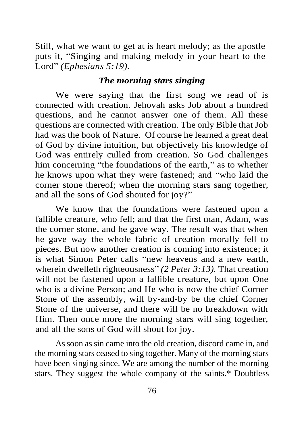Still, what we want to get at is heart melody; as the apostle puts it, "Singing and making melody in your heart to the Lord" *(Ephesians 5:19).*

#### *The morning stars singing*

We were saying that the first song we read of is connected with creation. Jehovah asks Job about a hundred questions, and he cannot answer one of them. All these questions are connected with creation. The only Bible that Job had was the book of Nature. Of course he learned a great deal of God by divine intuition, but objectively his knowledge of God was entirely culled from creation. So God challenges him concerning "the foundations of the earth," as to whether he knows upon what they were fastened; and "who laid the corner stone thereof; when the morning stars sang together, and all the sons of God shouted for joy?"

We know that the foundations were fastened upon a fallible creature, who fell; and that the first man, Adam, was the corner stone, and he gave way. The result was that when he gave way the whole fabric of creation morally fell to pieces. But now another creation is coming into existence; it is what Simon Peter calls "new heavens and a new earth, wherein dwelleth righteousness" *(2 Peter 3:13).* That creation will not be fastened upon a fallible creature, but upon One who is a divine Person; and He who is now the chief Corner Stone of the assembly, will by-and-by be the chief Corner Stone of the universe, and there will be no breakdown with Him. Then once more the morning stars will sing together, and all the sons of God will shout for joy.

As soon as sin came into the old creation, discord came in, and the morning stars ceased to sing together. Many of the morning stars have been singing since. We are among the number of the morning stars. They suggest the whole company of the saints.\* Doubtless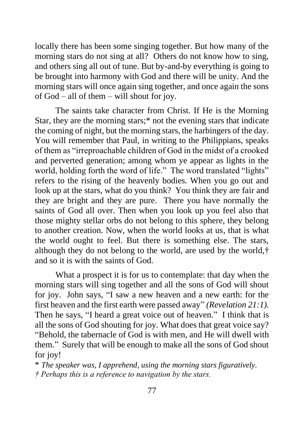locally there has been some singing together. But how many of the morning stars do not sing at all? Others do not know how to sing, and others sing all out of tune. But by-and-by everything is going to be brought into harmony with God and there will be unity. And the morning stars will once again sing together, and once again the sons of God – all of them – will shout for joy.

The saints take character from Christ. If He is the Morning Star, they are the morning stars;\* not the evening stars that indicate the coming of night, but the morning stars, the harbingers of the day. You will remember that Paul, in writing to the Philippians, speaks of them as "irreproachable children of God in the midst of a crooked and perverted generation; among whom ye appear as lights in the world, holding forth the word of life." The word translated "lights" refers to the rising of the heavenly bodies. When you go out and look up at the stars, what do you think? You think they are fair and they are bright and they are pure. There you have normally the saints of God all over. Then when you look up you feel also that those mighty stellar orbs do not belong to this sphere, they belong to another creation. Now, when the world looks at us, that is what the world ought to feel. But there is something else. The stars, although they do not belong to the world, are used by the world,† and so it is with the saints of God.

What a prospect it is for us to contemplate: that day when the morning stars will sing together and all the sons of God will shout for joy. John says, "I saw a new heaven and a new earth: for the first heaven and the first earth were passed away" *(Revelation 21:1).*  Then he says, "I heard a great voice out of heaven." I think that is all the sons of God shouting for joy. What does that great voice say? "Behold, the tabernacle of God is with men, and He will dwell with them." Surely that will be enough to make all the sons of God shout for joy!

\* *The speaker was, I apprehend, using the morning stars figuratively. † Perhaps this is a reference to navigation by the stars.*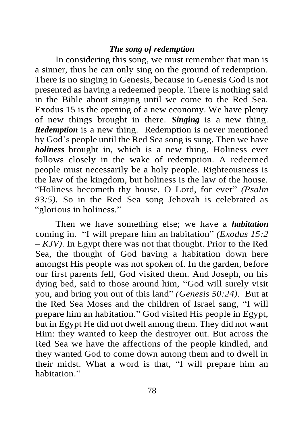#### *The song of redemption*

In considering this song, we must remember that man is a sinner, thus he can only sing on the ground of redemption. There is no singing in Genesis, because in Genesis God is not presented as having a redeemed people. There is nothing said in the Bible about singing until we come to the Red Sea. Exodus 15 is the opening of a new economy. We have plenty of new things brought in there. *Singing* is a new thing. *Redemption* is a new thing. Redemption is never mentioned by God's people until the Red Sea song is sung. Then we have *holiness* brought in, which is a new thing. Holiness ever follows closely in the wake of redemption. A redeemed people must necessarily be a holy people. Righteousness is the law of the kingdom, but holiness is the law of the house. "Holiness becometh thy house, O Lord, for ever" *(Psalm 93:5).* So in the Red Sea song Jehovah is celebrated as "glorious in holiness."

Then we have something else; we have a *habitation* coming in. "I will prepare him an habitation" *(Exodus 15:2 – KJV).* In Egypt there was not that thought. Prior to the Red Sea, the thought of God having a habitation down here amongst His people was not spoken of. In the garden, before our first parents fell, God visited them. And Joseph, on his dying bed, said to those around him, "God will surely visit you, and bring you out of this land" *(Genesis 50:24).* But at the Red Sea Moses and the children of Israel sang, "I will prepare him an habitation." God visited His people in Egypt, but in Egypt He did not dwell among them. They did not want Him: they wanted to keep the destroyer out. But across the Red Sea we have the affections of the people kindled, and they wanted God to come down among them and to dwell in their midst. What a word is that, "I will prepare him an habitation."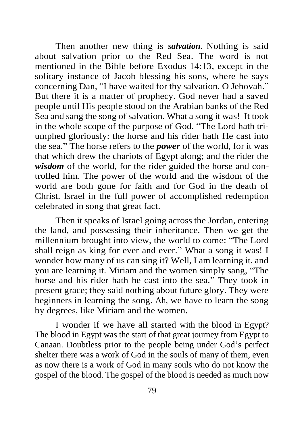Then another new thing is *salvation.* Nothing is said about salvation prior to the Red Sea. The word is not mentioned in the Bible before Exodus 14:13, except in the solitary instance of Jacob blessing his sons, where he says concerning Dan, "I have waited for thy salvation, O Jehovah." But there it is a matter of prophecy. God never had a saved people until His people stood on the Arabian banks of the Red Sea and sang the song of salvation. What a song it was! It took in the whole scope of the purpose of God. "The Lord hath triumphed gloriously: the horse and his rider hath He cast into the sea." The horse refers to the *power* of the world, for it was that which drew the chariots of Egypt along; and the rider the *wisdom* of the world, for the rider guided the horse and controlled him. The power of the world and the wisdom of the world are both gone for faith and for God in the death of Christ. Israel in the full power of accomplished redemption celebrated in song that great fact.

Then it speaks of Israel going across the Jordan, entering the land, and possessing their inheritance. Then we get the millennium brought into view, the world to come: "The Lord shall reign as king for ever and ever." What a song it was! I wonder how many of us can sing it? Well, I am learning it, and you are learning it. Miriam and the women simply sang, "The horse and his rider hath he cast into the sea." They took in present grace; they said nothing about future glory. They were beginners in learning the song. Ah, we have to learn the song by degrees, like Miriam and the women.

I wonder if we have all started with the blood in Egypt? The blood in Egypt was the start of that great journey from Egypt to Canaan. Doubtless prior to the people being under God's perfect shelter there was a work of God in the souls of many of them, even as now there is a work of God in many souls who do not know the gospel of the blood. The gospel of the blood is needed as much now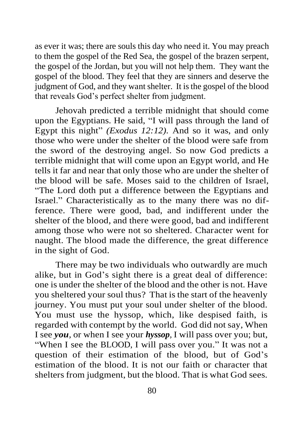as ever it was; there are souls this day who need it. You may preach to them the gospel of the Red Sea, the gospel of the brazen serpent, the gospel of the Jordan, but you will not help them. They want the gospel of the blood. They feel that they are sinners and deserve the judgment of God, and they want shelter. It is the gospel of the blood that reveals God's perfect shelter from judgment.

Jehovah predicted a terrible midnight that should come upon the Egyptians. He said, "I will pass through the land of Egypt this night" *(Exodus 12:12).* And so it was, and only those who were under the shelter of the blood were safe from the sword of the destroying angel. So now God predicts a terrible midnight that will come upon an Egypt world, and He tells it far and near that only those who are under the shelter of the blood will be safe. Moses said to the children of Israel, "The Lord doth put a difference between the Egyptians and Israel." Characteristically as to the many there was no difference. There were good, bad, and indifferent under the shelter of the blood, and there were good, bad and indifferent among those who were not so sheltered. Character went for naught. The blood made the difference, the great difference in the sight of God.

There may be two individuals who outwardly are much alike, but in God's sight there is a great deal of difference: one is under the shelter of the blood and the other is not. Have you sheltered your soul thus? That is the start of the heavenly journey. You must put your soul under shelter of the blood. You must use the hyssop, which, like despised faith, is regarded with contempt by the world. God did not say, When I see *you,* or when I see your *hyssop,* I will pass over you; but, "When I see the BLOOD, I will pass over you." It was not a question of their estimation of the blood, but of God's estimation of the blood. It is not our faith or character that shelters from judgment, but the blood. That is what God sees.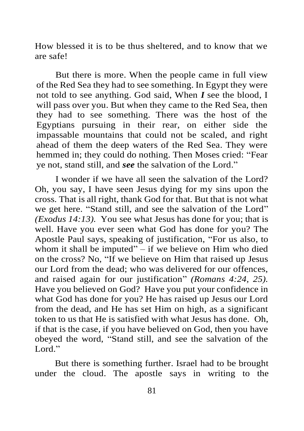How blessed it is to be thus sheltered, and to know that we are safe!

But there is more. When the people came in full view of the Red Sea they had to see something. In Egypt they were not told to see anything. God said, When *I* see the blood, I will pass over you. But when they came to the Red Sea, then they had to see something. There was the host of the Egyptians pursuing in their rear, on either side the impassable mountains that could not be scaled, and right ahead of them the deep waters of the Red Sea. They were hemmed in; they could do nothing. Then Moses cried: "Fear ye not, stand still, and *see* the salvation of the Lord."

I wonder if we have all seen the salvation of the Lord? Oh, you say, I have seen Jesus dying for my sins upon the cross. That is all right, thank God for that. But that is not what we get here. "Stand still, and see the salvation of the Lord" *(Exodus 14:13).* You see what Jesus has done for you; that is well. Have you ever seen what God has done for you? The Apostle Paul says, speaking of justification, "For us also, to whom it shall be imputed" – if we believe on Him who died on the cross? No, "If we believe on Him that raised up Jesus our Lord from the dead; who was delivered for our offences, and raised again for our justification" *(Romans 4:24, 25).* Have you believed on God? Have you put your confidence in what God has done for you? He has raised up Jesus our Lord from the dead, and He has set Him on high, as a significant token to us that He is satisfied with what Jesus has done. Oh, if that is the case, if you have believed on God, then you have obeyed the word, "Stand still, and see the salvation of the Lord<sup>"</sup>

But there is something further. Israel had to be brought under the cloud. The apostle says in writing to the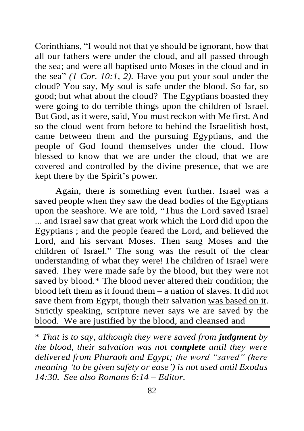Corinthians, "I would not that ye should be ignorant, how that all our fathers were under the cloud, and all passed through the sea; and were all baptised unto Moses in the cloud and in the sea" *(1 Cor. 10:1, 2).* Have you put your soul under the cloud? You say, My soul is safe under the blood. So far, so good; but what about the cloud? The Egyptians boasted they were going to do terrible things upon the children of Israel. But God, as it were, said, You must reckon with Me first. And so the cloud went from before to behind the Israelitish host, came between them and the pursuing Egyptians, and the people of God found themselves under the cloud. How blessed to know that we are under the cloud, that we are covered and controlled by the divine presence, that we are kept there by the Spirit's power.

Again, there is something even further. Israel was a saved people when they saw the dead bodies of the Egyptians upon the seashore. We are told, "Thus the Lord saved Israel ... and Israel saw that great work which the Lord did upon the Egyptians ; and the people feared the Lord, and believed the Lord, and his servant Moses. Then sang Moses and the children of Israel." The song was the result of the clear understanding of what they were! The children of Israel were saved. They were made safe by the blood, but they were not saved by blood.\* The blood never altered their condition; the blood left them as it found them – a nation of slaves. It did not save them from Egypt, though their salvation was based on it. Strictly speaking, scripture never says we are saved by the blood. We are justified by the blood, and cleansed and

\* *That is to say, although they were saved from judgment by the blood, their salvation was not complete until they were delivered from Pharaoh and Egypt; the word "saved" (here meaning 'to be given safety or ease') is not used until Exodus 14:30. See also Romans 6:14 – Editor.*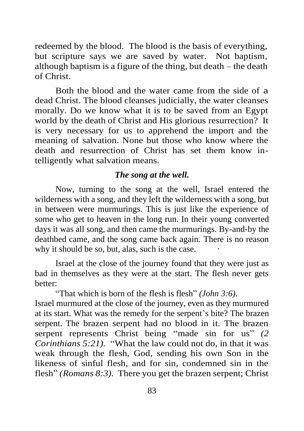redeemed by the blood. The blood is the basis of everything, but scripture says we are saved by water. Not baptism, although baptism is a figure of the thing, but death – the death of Christ.

Both the blood and the water came from the side of a dead Christ. The blood cleanses judicially, the water cleanses morally. Do we know what it is to be saved from an Egypt world by the death of Christ and His glorious resurrection? It is very necessary for us to apprehend the import and the meaning of salvation. None but those who know where the death and resurrection of Christ has set them know intelligently what salvation means.

#### *The song at the well.*

Now, turning to the song at the well, Israel entered the wilderness with a song, and they left the wilderness with a song, but in between were murmurings. This is just like the experience of some who get to heaven in the long run. In their young converted days it was all song, and then came the murmurings. By-and-by the deathbed came, and the song came back again. There is no reason why it should be so, but, alas, such is the case.

Israel at the close of the journey found that they were just as bad in themselves as they were at the start. The flesh never gets better:

"That which is born of the flesh is flesh" *(John 3:6).* Israel murmured at the close of the journey, even as they murmured at its start. What was the remedy for the serpent's bite? The brazen serpent. The brazen serpent had no blood in it. The brazen serpent represents Christ being "made sin for us" *(2 Corinthians 5:21).* "What the law could not do, in that it was weak through the flesh, God, sending his own Son in the likeness of sinful flesh, and for sin, condemned sin in the flesh" *(Romans 8:3)*. There you get the brazen serpent; Christ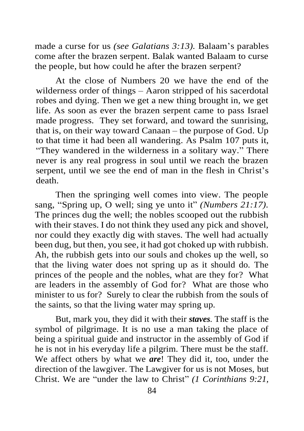made a curse for us *(see Galatians 3:13).* Balaam's parables come after the brazen serpent. Balak wanted Balaam to curse the people, but how could he after the brazen serpent?

At the close of Numbers 20 we have the end of the wilderness order of things – Aaron stripped of his sacerdotal robes and dying. Then we get a new thing brought in, we get life. As soon as ever the brazen serpent came to pass Israel made progress. They set forward, and toward the sunrising, that is, on their way toward Canaan – the purpose of God. Up to that time it had been all wandering. As Psalm 107 puts it, "They wandered in the wilderness in a solitary way." There never is any real progress in soul until we reach the brazen serpent, until we see the end of man in the flesh in Christ's death.

Then the springing well comes into view. The people sang, "Spring up, O well; sing ye unto it" *(Numbers 21:17).* The princes dug the well; the nobles scooped out the rubbish with their staves. I do not think they used any pick and shovel, nor could they exactly dig with staves. The well had actually been dug, but then, you see, it had got choked up with rubbish. Ah, the rubbish gets into our souls and chokes up the well, so that the living water does not spring up as it should do. The princes of the people and the nobles, what are they for? What are leaders in the assembly of God for? What are those who minister to us for? Surely to clear the rubbish from the souls of the saints, so that the living water may spring up.

But, mark you, they did it with their *staves.* The staff is the symbol of pilgrimage. It is no use a man taking the place of being a spiritual guide and instructor in the assembly of God if he is not in his everyday life a pilgrim. There must be the staff. We affect others by what we *are*! They did it, too, under the direction of the lawgiver. The Lawgiver for us is not Moses, but Christ. We are "under the law to Christ" *(1 Corinthians 9:21,*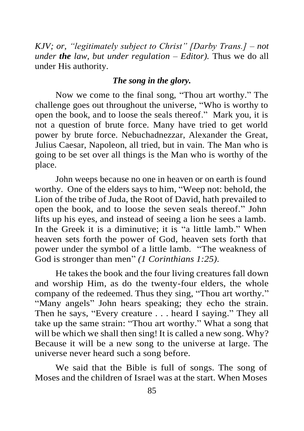*KJV; or, "legitimately subject to Christ" [Darby Trans.] – not under the law, but under regulation – Editor).* Thus we do all under His authority.

#### *The song in the glory.*

Now we come to the final song, "Thou art worthy." The challenge goes out throughout the universe, "Who is worthy to open the book, and to loose the seals thereof." Mark you, it is not a question of brute force. Many have tried to get world power by brute force. Nebuchadnezzar, Alexander the Great, Julius Caesar, Napoleon, all tried, but in vain. The Man who is going to be set over all things is the Man who is worthy of the place.

John weeps because no one in heaven or on earth is found worthy. One of the elders says to him, "Weep not: behold, the Lion of the tribe of Juda, the Root of David, hath prevailed to open the book, and to loose the seven seals thereof." John lifts up his eyes, and instead of seeing a lion he sees a lamb. In the Greek it is a diminutive; it is "a little lamb." When heaven sets forth the power of God, heaven sets forth that power under the symbol of a little lamb. "The weakness of God is stronger than men" *(1 Corinthians 1:25).*

He takes the book and the four living creatures fall down and worship Him, as do the twenty-four elders, the whole company of the redeemed. Thus they sing, "Thou art worthy." "Many angels" John hears speaking; they echo the strain. Then he says, "Every creature . . . heard I saying." They all take up the same strain: "Thou art worthy." What a song that will be which we shall then sing! It is called a new song. Why? Because it will be a new song to the universe at large. The universe never heard such a song before.

We said that the Bible is full of songs. The song of Moses and the children of Israel was at the start. When Moses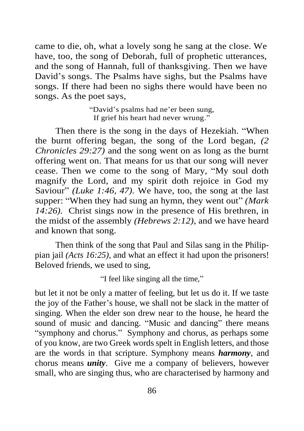came to die, oh, what a lovely song he sang at the close. We have, too, the song of Deborah, full of prophetic utterances, and the song of Hannah, full of thanksgiving. Then we have David's songs. The Psalms have sighs, but the Psalms have songs. If there had been no sighs there would have been no songs. As the poet says,

> "David's psalms had ne'er been sung, If grief his heart had never wrung."

Then there is the song in the days of Hezekiah. "When the burnt offering began, the song of the Lord began, *(2 Chronicles 29:27)* and the song went on as long as the burnt offering went on. That means for us that our song will never cease. Then we come to the song of Mary, "My soul doth magnify the Lord, and my spirit doth rejoice in God my Saviour" *(Luke 1:46, 47)*. We have, too, the song at the last supper: "When they had sung an hymn, they went out" *(Mark 14:26).* Christ sings now in the presence of His brethren, in the midst of the assembly *(Hebrews 2:12)*, and we have heard and known that song.

Then think of the song that Paul and Silas sang in the Philippian jail *(Acts 16:25)*, and what an effect it had upon the prisoners! Beloved friends, we used to sing,

"I feel like singing all the time,"

but let it not be only a matter of feeling, but let us do it. If we taste the joy of the Father's house, we shall not be slack in the matter of singing. When the elder son drew near to the house, he heard the sound of music and dancing. "Music and dancing" there means "symphony and chorus." Symphony and chorus, as perhaps some of you know, are two Greek words spelt in English letters, and those are the words in that scripture. Symphony means *harmony*, and chorus means *unity*. Give me a company of believers, however small, who are singing thus, who are characterised by harmony and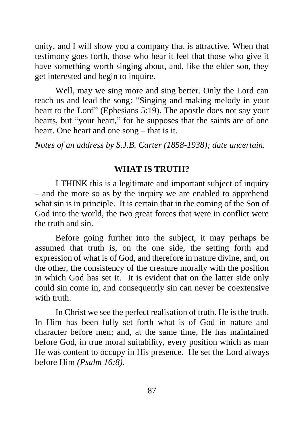unity, and I will show you a company that is attractive. When that testimony goes forth, those who hear it feel that those who give it have something worth singing about, and, like the elder son, they get interested and begin to inquire.

Well, may we sing more and sing better. Only the Lord can teach us and lead the song: "Singing and making melody in your heart to the Lord" (Ephesians 5:19). The apostle does not say your hearts, but "your heart," for he supposes that the saints are of one heart. One heart and one song – that is it.

*Notes of an address by S.J.B. Carter (1858-1938); date uncertain.*

## **WHAT IS TRUTH?**

I THINK this is a legitimate and important subject of inquiry – and the more so as by the inquiry we are enabled to apprehend what sin is in principle. It is certain that in the coming of the Son of God into the world, the two great forces that were in conflict were the truth and sin.

Before going further into the subject, it may perhaps be assumed that truth is, on the one side, the setting forth and expression of what is of God, and therefore in nature divine, and, on the other, the consistency of the creature morally with the position in which God has set it. It is evident that on the latter side only could sin come in, and consequently sin can never be coextensive with truth.

In Christ we see the perfect realisation of truth. He is the truth. In Him has been fully set forth what is of God in nature and character before men; and, at the same time, He has maintained before God, in true moral suitability, every position which as man He was content to occupy in His presence. He set the Lord always before Him *(Psalm 16:8).*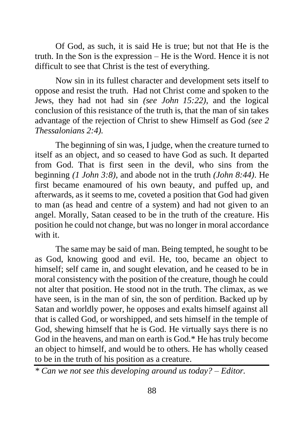Of God, as such, it is said He is true; but not that He is the truth. In the Son is the expression – He is the Word. Hence it is not difficult to see that Christ is the test of everything.

Now sin in its fullest character and development sets itself to oppose and resist the truth. Had not Christ come and spoken to the Jews, they had not had sin *(see John 15:22)*, and the logical conclusion of this resistance of the truth is, that the man of sin takes advantage of the rejection of Christ to shew Himself as God *(see 2 Thessalonians 2:4).*

The beginning of sin was, I judge, when the creature turned to itself as an object, and so ceased to have God as such. It departed from God. That is first seen in the devil, who sins from the beginning *(1 John 3:8)*, and abode not in the truth *(John 8:44)*. He first became enamoured of his own beauty, and puffed up, and afterwards, as it seems to me, coveted a position that God had given to man (as head and centre of a system) and had not given to an angel. Morally, Satan ceased to be in the truth of the creature. His position he could not change, but was no longer in moral accordance with it.

The same may be said of man. Being tempted, he sought to be as God, knowing good and evil. He, too, became an object to himself; self came in, and sought elevation, and he ceased to be in moral consistency with the position of the creature, though he could not alter that position. He stood not in the truth. The climax, as we have seen, is in the man of sin, the son of perdition. Backed up by Satan and worldly power, he opposes and exalts himself against all that is called God, or worshipped, and sets himself in the temple of God, shewing himself that he is God. He virtually says there is no God in the heavens, and man on earth is God.\* He has truly become an object to himself, and would be to others. He has wholly ceased to be in the truth of his position as a creature.

*<sup>\*</sup> Can we not see this developing around us today? – Editor.*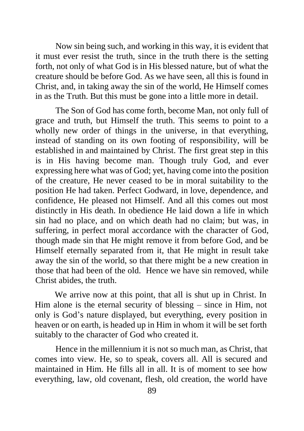Now sin being such, and working in this way, it is evident that it must ever resist the truth, since in the truth there is the setting forth, not only of what God is in His blessed nature, but of what the creature should be before God. As we have seen, all this is found in Christ, and, in taking away the sin of the world, He Himself comes in as the Truth. But this must be gone into a little more in detail.

The Son of God has come forth, become Man, not only full of grace and truth, but Himself the truth. This seems to point to a wholly new order of things in the universe, in that everything, instead of standing on its own footing of responsibility, will be established in and maintained by Christ. The first great step in this is in His having become man. Though truly God, and ever expressing here what was of God; yet, having come into the position of the creature, He never ceased to be in moral suitability to the position He had taken. Perfect Godward, in love, dependence, and confidence, He pleased not Himself. And all this comes out most distinctly in His death. In obedience He laid down a life in which sin had no place, and on which death had no claim; but was, in suffering, in perfect moral accordance with the character of God, though made sin that He might remove it from before God, and be Himself eternally separated from it, that He might in result take away the sin of the world, so that there might be a new creation in those that had been of the old. Hence we have sin removed, while Christ abides, the truth.

We arrive now at this point, that all is shut up in Christ. In Him alone is the eternal security of blessing – since in Him, not only is God's nature displayed, but everything, every position in heaven or on earth, is headed up in Him in whom it will be set forth suitably to the character of God who created it.

Hence in the millennium it is not so much man, as Christ, that comes into view. He, so to speak, covers all. All is secured and maintained in Him. He fills all in all. It is of moment to see how everything, law, old covenant, flesh, old creation, the world have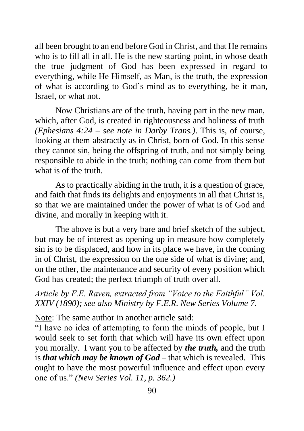all been brought to an end before God in Christ, and that He remains who is to fill all in all. He is the new starting point, in whose death the true judgment of God has been expressed in regard to everything, while He Himself, as Man, is the truth, the expression of what is according to God's mind as to everything, be it man, Israel, or what not.

Now Christians are of the truth, having part in the new man, which, after God, is created in righteousness and holiness of truth *(Ephesians 4:24 – see note in Darby Trans.)*. This is, of course, looking at them abstractly as in Christ, born of God. In this sense they cannot sin, being the offspring of truth, and not simply being responsible to abide in the truth; nothing can come from them but what is of the truth.

As to practically abiding in the truth, it is a question of grace, and faith that finds its delights and enjoyments in all that Christ is, so that we are maintained under the power of what is of God and divine, and morally in keeping with it.

The above is but a very bare and brief sketch of the subject, but may be of interest as opening up in measure how completely sin is to be displaced, and how in its place we have, in the coming in of Christ, the expression on the one side of what is divine; and, on the other, the maintenance and security of every position which God has created; the perfect triumph of truth over all.

# *Article by F.E. Raven, extracted from "Voice to the Faithful" Vol. XXIV (1890); see also Ministry by F.E.R. New Series Volume 7.*

Note: The same author in another article said:

"I have no idea of attempting to form the minds of people, but I would seek to set forth that which will have its own effect upon you morally. I want you to be affected by *the truth,* and the truth is *that which may be known of God* – that which is revealed. This ought to have the most powerful influence and effect upon every one of us." *(New Series Vol. 11, p. 362.)*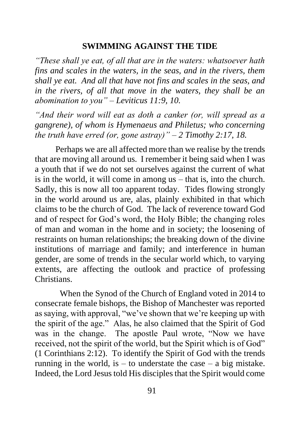#### **SWIMMING AGAINST THE TIDE**

*"These shall ye eat, of all that are in the waters: whatsoever hath fins and scales in the waters, in the seas, and in the rivers, them shall ye eat. And all that have not fins and scales in the seas, and in the rivers, of all that move in the waters, they shall be an abomination to you" – Leviticus 11:9, 10.*

*"And their word will eat as doth a canker (or, will spread as a gangrene), of whom is Hymenaeus and Philetus; who concerning the truth have erred (or, gone astray)" – 2 Timothy 2:17, 18.*

Perhaps we are all affected more than we realise by the trends that are moving all around us. I remember it being said when I was a youth that if we do not set ourselves against the current of what is in the world, it will come in among us – that is, into the church. Sadly, this is now all too apparent today. Tides flowing strongly in the world around us are, alas, plainly exhibited in that which claims to be the church of God. The lack of reverence toward God and of respect for God's word, the Holy Bible; the changing roles of man and woman in the home and in society; the loosening of restraints on human relationships; the breaking down of the divine institutions of marriage and family; and interference in human gender, are some of trends in the secular world which, to varying extents, are affecting the outlook and practice of professing Christians.

 When the Synod of the Church of England voted in 2014 to consecrate female bishops, the Bishop of Manchester was reported as saying, with approval, "we've shown that we're keeping up with the spirit of the age." Alas, he also claimed that the Spirit of God was in the change. The apostle Paul wrote, "Now we have received, not the spirit of the world, but the Spirit which is of God" (1 Corinthians 2:12). To identify the Spirit of God with the trends running in the world, is  $-$  to understate the case  $-$  a big mistake. Indeed, the Lord Jesus told His disciples that the Spirit would come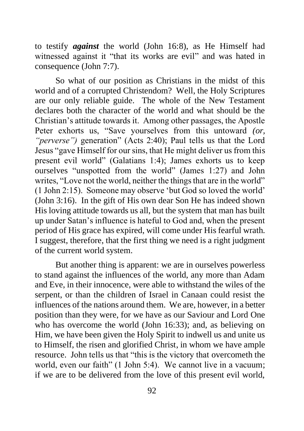to testify *against* the world (John 16:8), as He Himself had witnessed against it "that its works are evil" and was hated in consequence (John 7:7).

So what of our position as Christians in the midst of this world and of a corrupted Christendom? Well, the Holy Scriptures are our only reliable guide. The whole of the New Testament declares both the character of the world and what should be the Christian's attitude towards it. Among other passages, the Apostle Peter exhorts us, "Save yourselves from this untoward *(or, "perverse")* generation" (Acts 2:40); Paul tells us that the Lord Jesus "gave Himself for our sins, that He might deliver us from this present evil world" (Galatians 1:4); James exhorts us to keep ourselves "unspotted from the world" (James 1:27) and John writes, "Love not the world, neither the things that are in the world" (1 John 2:15). Someone may observe 'but God so loved the world' (John 3:16). In the gift of His own dear Son He has indeed shown His loving attitude towards us all, but the system that man has built up under Satan's influence is hateful to God and, when the present period of His grace has expired, will come under His fearful wrath. I suggest, therefore, that the first thing we need is a right judgment of the current world system.

But another thing is apparent: we are in ourselves powerless to stand against the influences of the world, any more than Adam and Eve, in their innocence, were able to withstand the wiles of the serpent, or than the children of Israel in Canaan could resist the influences of the nations around them. We are, however, in a better position than they were, for we have as our Saviour and Lord One who has overcome the world (John 16:33); and, as believing on Him, we have been given the Holy Spirit to indwell us and unite us to Himself, the risen and glorified Christ, in whom we have ample resource. John tells us that "this is the victory that overcometh the world, even our faith" (1 John 5:4). We cannot live in a vacuum; if we are to be delivered from the love of this present evil world,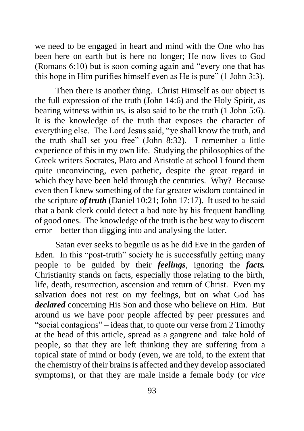we need to be engaged in heart and mind with the One who has been here on earth but is here no longer; He now lives to God (Romans 6:10) but is soon coming again and "every one that has this hope in Him purifies himself even as He is pure" (1 John 3:3).

Then there is another thing. Christ Himself as our object is the full expression of the truth (John 14:6) and the Holy Spirit, as bearing witness within us, is also said to be the truth (1 John 5:6). It is the knowledge of the truth that exposes the character of everything else. The Lord Jesus said, "ye shall know the truth, and the truth shall set you free" (John 8:32). I remember a little experience of this in my own life. Studying the philosophies of the Greek writers Socrates, Plato and Aristotle at school I found them quite unconvincing, even pathetic, despite the great regard in which they have been held through the centuries. Why? Because even then I knew something of the far greater wisdom contained in the scripture *of truth* (Daniel 10:21; John 17:17). It used to be said that a bank clerk could detect a bad note by his frequent handling of good ones. The knowledge of the truth is the best way to discern error – better than digging into and analysing the latter.

Satan ever seeks to beguile us as he did Eve in the garden of Eden. In this "post-truth" society he is successfully getting many people to be guided by their *feelings*, ignoring the *facts.* Christianity stands on facts, especially those relating to the birth, life, death, resurrection, ascension and return of Christ. Even my salvation does not rest on my feelings, but on what God has *declared* concerning His Son and those who believe on Him. But around us we have poor people affected by peer pressures and "social contagions" – ideas that, to quote our verse from 2 Timothy at the head of this article, spread as a gangrene and take hold of people, so that they are left thinking they are suffering from a topical state of mind or body (even, we are told, to the extent that the chemistry of their brains is affected and they develop associated symptoms), or that they are male inside a female body (or *vice*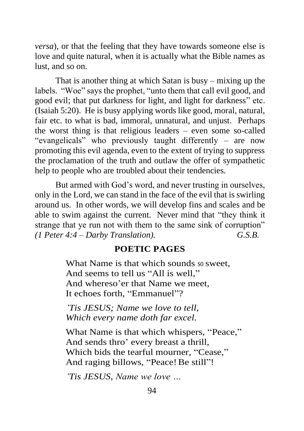*versa*), or that the feeling that they have towards someone else is love and quite natural, when it is actually what the Bible names as lust, and so on.

That is another thing at which Satan is busy – mixing up the labels. "Woe" says the prophet, "unto them that call evil good, and good evil; that put darkness for light, and light for darkness" etc. (Isaiah 5:20). He is busy applying words like good, moral, natural, fair etc. to what is bad, immoral, unnatural, and unjust. Perhaps the worst thing is that religious leaders – even some so-called "evangelicals" who previously taught differently – are now promoting this evil agenda, even to the extent of trying to suppress the proclamation of the truth and outlaw the offer of sympathetic help to people who are troubled about their tendencies.

But armed with God's word, and never trusting in ourselves, only in the Lord, we can stand in the face of the evil that is swirling around us. In other words, we will develop fins and scales and be able to swim against the current. Never mind that "they think it strange that ye run not with them to the same sink of corruption" *(1 Peter 4:4 – Darby Translation). G.S.B.*

### **POETIC PAGES**

What Name is that which sounds so sweet. And seems to tell us "All is well," And whereso'er that Name we meet, It echoes forth, "Emmanuel"?

*'Tis JESUS; Name we love to tell, Which every name doth far excel.* 

What Name is that which whispers, "Peace," And sends thro' every breast a thrill, Which bids the tearful mourner, "Cease," And raging billows, "Peace! Be still"!

*'Tis JESUS, Name we love …*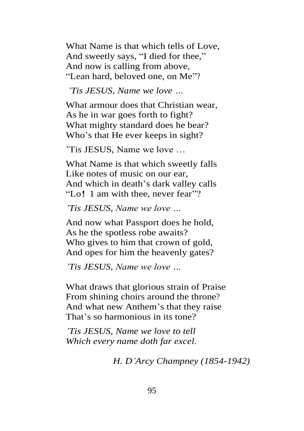What Name is that which tells of Love, And sweetly says, "I died for thee," And now is calling from above, "Lean hard, beloved one, on Me"?

#### *'Tis JESUS, Name we love …*

What armour does that Christian wear, As he in war goes forth to fight? What mighty standard does he bear? Who's that He ever keeps in sight?

'Tis JESUS, Name we love …

What Name is that which sweetly falls Like notes of music on our ear, And which in death's dark valley calls "Lo! 1 am with thee, never fear"?

*'Tis JESUS, Name we love …*

And now what Passport does he hold, As he the spotless robe awaits? Who gives to him that crown of gold, And opes for him the heavenly gates?

*'Tis JESUS, Name we love …*

What draws that glorious strain of Praise From shining choirs around the throne? And what new Anthem's that they raise That's so harmonious in its tone?

*'Tis JESUS, Name we love to tell Which every name doth far excel.*

*H. D'Arcy Champney (1854-1942)*